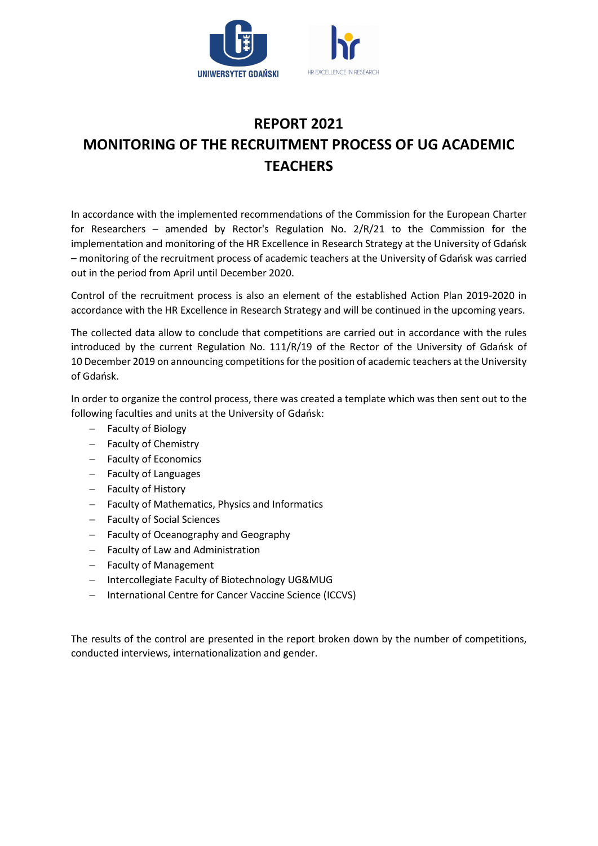

# REPORT 2021 MONITORING OF THE RECRUITMENT PROCESS OF UG ACADEMIC **TFACHERS**

In accordance with the implemented recommendations of the Commission for the European Charter for Researchers – amended by Rector's Regulation No. 2/R/21 to the Commission for the implementation and monitoring of the HR Excellence in Research Strategy at the University of Gdańsk – monitoring of the recruitment process of academic teachers at the University of Gdańsk was carried out in the period from April until December 2020.

Control of the recruitment process is also an element of the established Action Plan 2019-2020 in accordance with the HR Excellence in Research Strategy and will be continued in the upcoming years.

The collected data allow to conclude that competitions are carried out in accordance with the rules introduced by the current Regulation No. 111/R/19 of the Rector of the University of Gdańsk of 10 December 2019 on announcing competitions for the position of academic teachers at the University of Gdańsk.

In order to organize the control process, there was created a template which was then sent out to the following faculties and units at the University of Gdańsk:

- Faculty of Biology
- Faculty of Chemistry
- Faculty of Economics
- Faculty of Languages
- Faculty of History
- Faculty of Mathematics, Physics and Informatics
- Faculty of Social Sciences
- $-$  Faculty of Oceanography and Geography
- Faculty of Law and Administration
- Faculty of Management
- Intercollegiate Faculty of Biotechnology UG&MUG
- International Centre for Cancer Vaccine Science (ICCVS)

The results of the control are presented in the report broken down by the number of competitions, conducted interviews, internationalization and gender.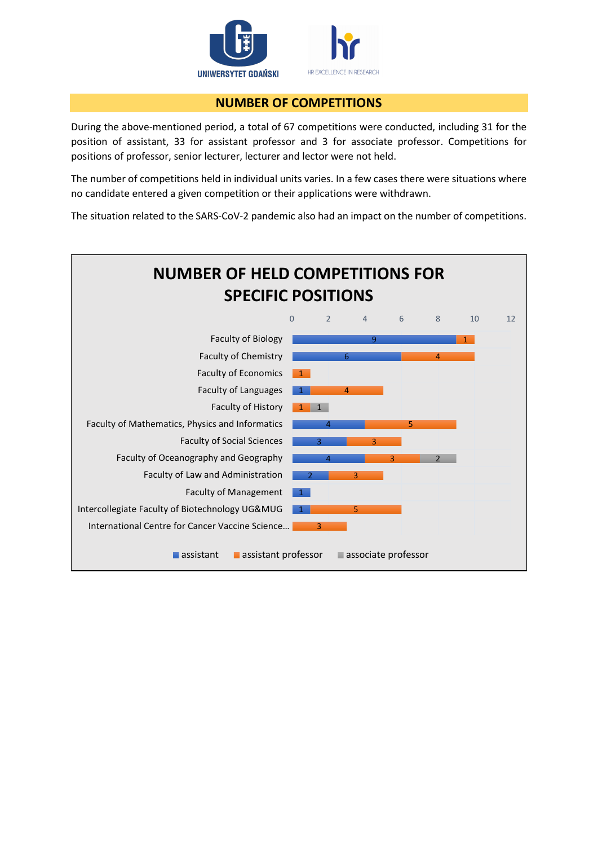

### NUMBER OF COMPETITIONS

During the above-mentioned period, a total of 67 competitions were conducted, including 31 for the position of assistant, 33 for assistant professor and 3 for associate professor. Competitions for positions of professor, senior lecturer, lecturer and lector were not held.

The number of competitions held in individual units varies. In a few cases there were situations where no candidate entered a given competition or their applications were withdrawn.

The situation related to the SARS-CoV-2 pandemic also had an impact on the number of competitions.

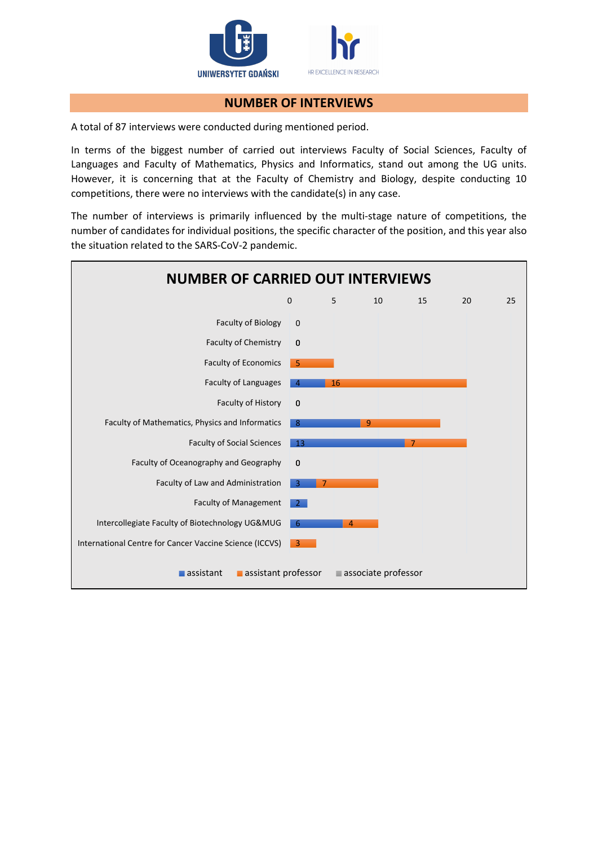

#### NUMBER OF INTERVIEWS

A total of 87 interviews were conducted during mentioned period.

In terms of the biggest number of carried out interviews Faculty of Social Sciences, Faculty of Languages and Faculty of Mathematics, Physics and Informatics, stand out among the UG units. However, it is concerning that at the Faculty of Chemistry and Biology, despite conducting 10 competitions, there were no interviews with the candidate(s) in any case.

The number of interviews is primarily influenced by the multi-stage nature of competitions, the number of candidates for individual positions, the specific character of the position, and this year also the situation related to the SARS-CoV-2 pandemic.

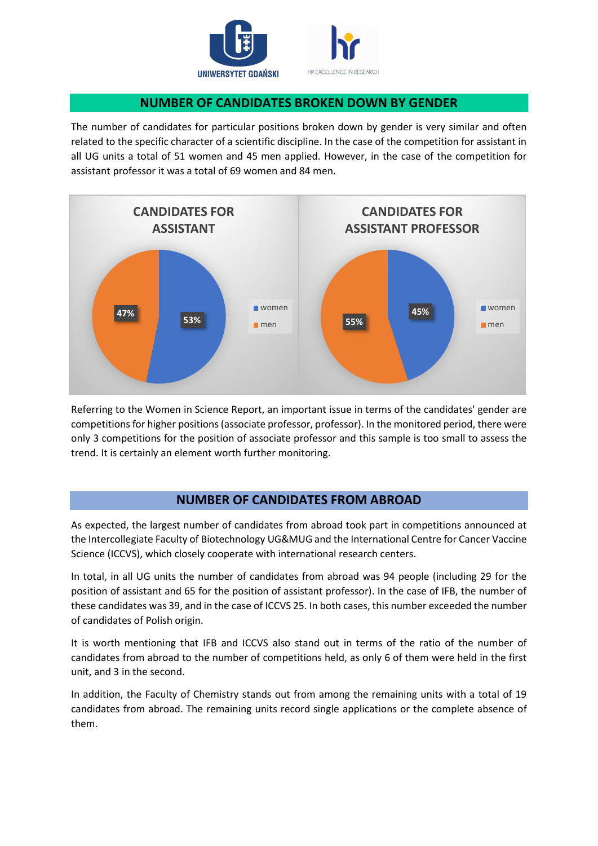

### NUMBER OF CANDIDATES BROKEN DOWN BY GENDER

The number of candidates for particular positions broken down by gender is very similar and often related to the specific character of a scientific discipline. In the case of the competition for assistant in all UG units a total of 51 women and 45 men applied. However, in the case of the competition for assistant professor it was a total of 69 women and 84 men.



Referring to the Women in Science Report, an important issue in terms of the candidates' gender are competitions for higher positions (associate professor, professor). In the monitored period, there were only 3 competitions for the position of associate professor and this sample is too small to assess the trend. It is certainly an element worth further monitoring.

## NUMBER OF CANDIDATES FROM ABROAD

As expected, the largest number of candidates from abroad took part in competitions announced at the Intercollegiate Faculty of Biotechnology UG&MUG and the International Centre for Cancer Vaccine Science (ICCVS), which closely cooperate with international research centers.

In total, in all UG units the number of candidates from abroad was 94 people (including 29 for the position of assistant and 65 for the position of assistant professor). In the case of IFB, the number of these candidates was 39, and in the case of ICCVS 25. In both cases, this number exceeded the number of candidates of Polish origin.

It is worth mentioning that IFB and ICCVS also stand out in terms of the ratio of the number of candidates from abroad to the number of competitions held, as only 6 of them were held in the first unit, and 3 in the second.

In addition, the Faculty of Chemistry stands out from among the remaining units with a total of 19 candidates from abroad. The remaining units record single applications or the complete absence of them.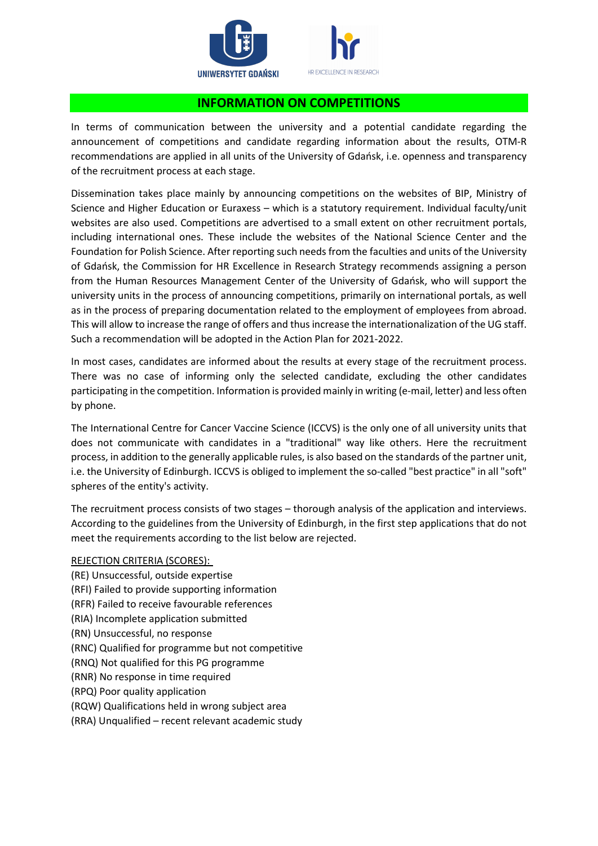

#### INFORMATION ON COMPETITIONS

In terms of communication between the university and a potential candidate regarding the announcement of competitions and candidate regarding information about the results, OTM-R recommendations are applied in all units of the University of Gdańsk, i.e. openness and transparency of the recruitment process at each stage.

Dissemination takes place mainly by announcing competitions on the websites of BIP, Ministry of Science and Higher Education or Euraxess – which is a statutory requirement. Individual faculty/unit websites are also used. Competitions are advertised to a small extent on other recruitment portals, including international ones. These include the websites of the National Science Center and the Foundation for Polish Science. After reporting such needs from the faculties and units of the University of Gdańsk, the Commission for HR Excellence in Research Strategy recommends assigning a person from the Human Resources Management Center of the University of Gdańsk, who will support the university units in the process of announcing competitions, primarily on international portals, as well as in the process of preparing documentation related to the employment of employees from abroad. This will allow to increase the range of offers and thus increase the internationalization of the UG staff. Such a recommendation will be adopted in the Action Plan for 2021-2022.

In most cases, candidates are informed about the results at every stage of the recruitment process. There was no case of informing only the selected candidate, excluding the other candidates participating in the competition. Information is provided mainly in writing (e-mail, letter) and less often by phone.

The International Centre for Cancer Vaccine Science (ICCVS) is the only one of all university units that does not communicate with candidates in a "traditional" way like others. Here the recruitment process, in addition to the generally applicable rules, is also based on the standards of the partner unit, i.e. the University of Edinburgh. ICCVS is obliged to implement the so-called "best practice" in all "soft" spheres of the entity's activity.

The recruitment process consists of two stages – thorough analysis of the application and interviews. According to the guidelines from the University of Edinburgh, in the first step applications that do not meet the requirements according to the list below are rejected.

#### REJECTION CRITERIA (SCORES):

(RE) Unsuccessful, outside expertise (RFI) Failed to provide supporting information (RFR) Failed to receive favourable references (RIA) Incomplete application submitted (RN) Unsuccessful, no response (RNC) Qualified for programme but not competitive (RNQ) Not qualified for this PG programme (RNR) No response in time required (RPQ) Poor quality application (RQW) Qualifications held in wrong subject area (RRA) Unqualified – recent relevant academic study